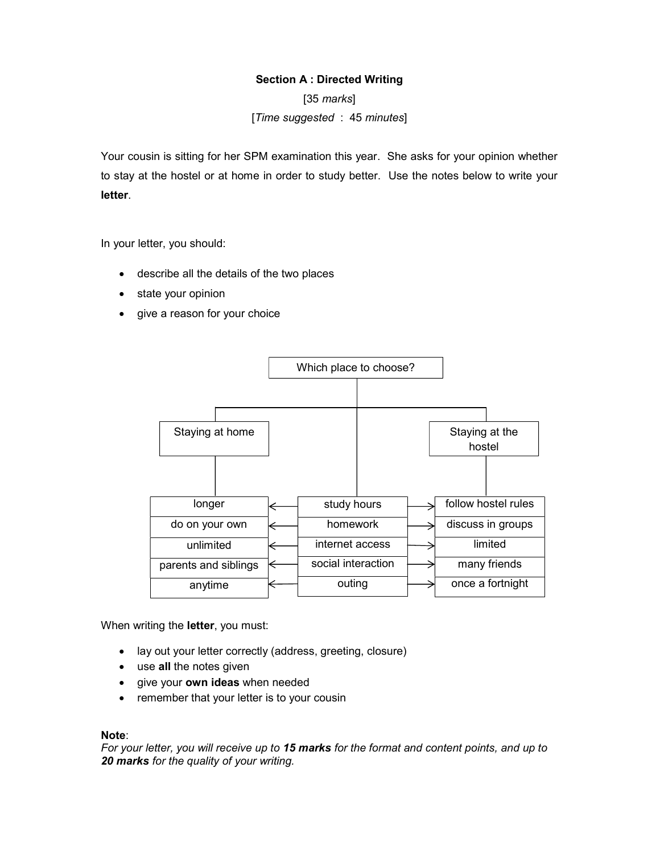## Section A : Directed Writing

 $[35$  marks $]$ [Time suggested : 45 minutes]

Your cousin is sitting for her SPM examination this year. She asks for your opinion whether to stay at the hostel or at home in order to study better. Use the notes below to write your letter.

In your letter, you should:

- describe all the details of the two places
- state your opinion
- give a reason for your choice



When writing the **letter**, you must:

- lay out your letter correctly (address, greeting, closure)
- use all the notes given
- give your own ideas when needed
- remember that your letter is to your cousin

## Note:

For your letter, you will receive up to 15 marks for the format and content points, and up to 20 marks for the quality of your writing.